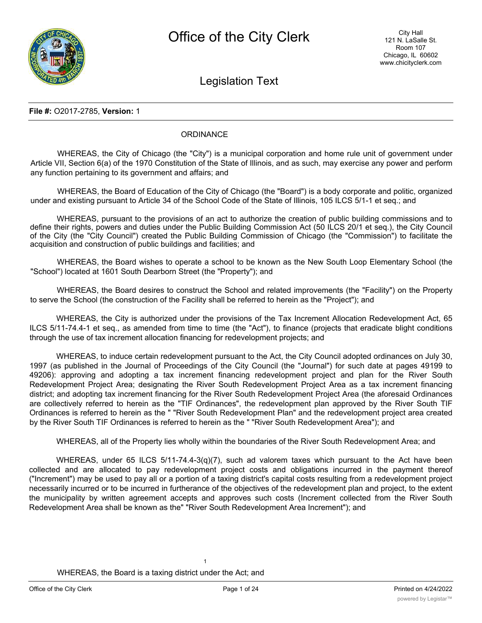

Legislation Text

#### **File #:** O2017-2785, **Version:** 1

# **ORDINANCE**

WHEREAS, the City of Chicago (the "City") is a municipal corporation and home rule unit of government under Article VII, Section 6(a) of the 1970 Constitution of the State of Illinois, and as such, may exercise any power and perform any function pertaining to its government and affairs; and

WHEREAS, the Board of Education of the City of Chicago (the "Board") is a body corporate and politic, organized under and existing pursuant to Article 34 of the School Code of the State of Illinois, 105 ILCS 5/1-1 et seq.; and

WHEREAS, pursuant to the provisions of an act to authorize the creation of public building commissions and to define their rights, powers and duties under the Public Building Commission Act (50 ILCS 20/1 et seq.), the City Council of the City (the "City Council") created the Public Building Commission of Chicago (the "Commission") to facilitate the acquisition and construction of public buildings and facilities; and

WHEREAS, the Board wishes to operate a school to be known as the New South Loop Elementary School (the "School") located at 1601 South Dearborn Street (the "Property"); and

WHEREAS, the Board desires to construct the School and related improvements (the "Facility") on the Property to serve the School (the construction of the Facility shall be referred to herein as the "Project"); and

WHEREAS, the City is authorized under the provisions of the Tax Increment Allocation Redevelopment Act, 65 ILCS 5/11-74.4-1 et seq., as amended from time to time (the "Act"), to finance (projects that eradicate blight conditions through the use of tax increment allocation financing for redevelopment projects; and

WHEREAS, to induce certain redevelopment pursuant to the Act, the City Council adopted ordinances on July 30, 1997 (as published in the Journal of Proceedings of the City Council (the "Journal") for such date at pages 49199 to 49206): approving and adopting a tax increment financing redevelopment project and plan for the River South Redevelopment Project Area; designating the River South Redevelopment Project Area as a tax increment financing district; and adopting tax increment financing for the River South Redevelopment Project Area (the aforesaid Ordinances are collectively referred to herein as the "TIF Ordinances", the redevelopment plan approved by the River South TIF Ordinances is referred to herein as the " "River South Redevelopment Plan" and the redevelopment project area created by the River South TIF Ordinances is referred to herein as the " "River South Redevelopment Area"); and

WHEREAS, all of the Property lies wholly within the boundaries of the River South Redevelopment Area; and

WHEREAS, under 65 ILCS 5/11-74.4-3(q)(7), such ad valorem taxes which pursuant to the Act have been collected and are allocated to pay redevelopment project costs and obligations incurred in the payment thereof ("Increment") may be used to pay all or a portion of a taxing district's capital costs resulting from a redevelopment project necessarily incurred or to be incurred in furtherance of the objectives of the redevelopment plan and project, to the extent the municipality by written agreement accepts and approves such costs (Increment collected from the River South Redevelopment Area shall be known as the" "River South Redevelopment Area Increment"); and

1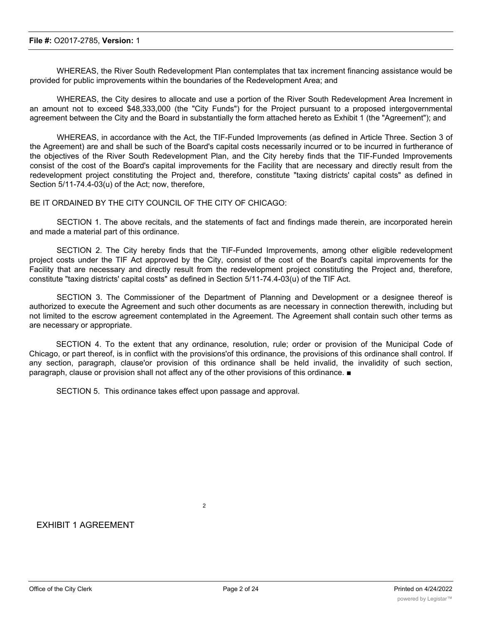WHEREAS, the River South Redevelopment Plan contemplates that tax increment financing assistance would be provided for public improvements within the boundaries of the Redevelopment Area; and

WHEREAS, the City desires to allocate and use a portion of the River South Redevelopment Area Increment in an amount not to exceed \$48,333,000 (the "City Funds") for the Project pursuant to a proposed intergovernmental agreement between the City and the Board in substantially the form attached hereto as Exhibit 1 (the "Agreement"); and

WHEREAS, in accordance with the Act, the TIF-Funded Improvements (as defined in Article Three. Section 3 of the Agreement) are and shall be such of the Board's capital costs necessarily incurred or to be incurred in furtherance of the objectives of the River South Redevelopment Plan, and the City hereby finds that the TIF-Funded Improvements consist of the cost of the Board's capital improvements for the Facility that are necessary and directly result from the redevelopment project constituting the Project and, therefore, constitute "taxing districts' capital costs" as defined in Section 5/11-74.4-03(u) of the Act; now, therefore,

BE IT ORDAINED BY THE CITY COUNCIL OF THE CITY OF CHICAGO:

SECTION 1. The above recitals, and the statements of fact and findings made therein, are incorporated herein and made a material part of this ordinance.

SECTION 2. The City hereby finds that the TIF-Funded Improvements, among other eligible redevelopment project costs under the TIF Act approved by the City, consist of the cost of the Board's capital improvements for the Facility that are necessary and directly result from the redevelopment project constituting the Project and, therefore, constitute "taxing districts' capital costs" as defined in Section 5/11-74.4-03(u) of the TIF Act.

SECTION 3. The Commissioner of the Department of Planning and Development or a designee thereof is authorized to execute the Agreement and such other documents as are necessary in connection therewith, including but not limited to the escrow agreement contemplated in the Agreement. The Agreement shall contain such other terms as are necessary or appropriate.

SECTION 4. To the extent that any ordinance, resolution, rule; order or provision of the Municipal Code of Chicago, or part thereof, is in conflict with the provisions'of this ordinance, the provisions of this ordinance shall control. If any section, paragraph, clause'or provision of this ordinance shall be held invalid, the invalidity of such section, paragraph, clause or provision shall not affect any of the other provisions of this ordinance. ■

SECTION 5. This ordinance takes effect upon passage and approval.

 $\overline{2}$ 

# EXHIBIT 1 AGREEMENT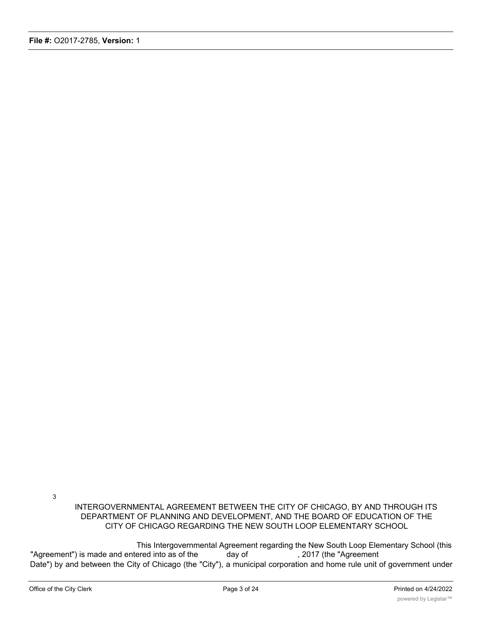INTERGOVERNMENTAL AGREEMENT BETWEEN THE CITY OF CHICAGO, BY AND THROUGH ITS DEPARTMENT OF PLANNING AND DEVELOPMENT, AND THE BOARD OF EDUCATION OF THE CITY OF CHICAGO REGARDING THE NEW SOUTH LOOP ELEMENTARY SCHOOL

This Intergovernmental Agreement regarding the New South Loop Elementary School (this "Agreement") is made and entered into as of the day of , 2017 (the "Agreement" Date") by and between the City of Chicago (the "City"), a municipal corporation and home rule unit of government under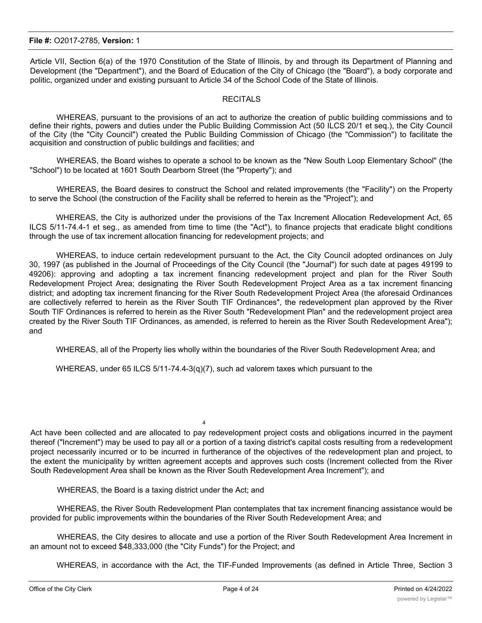Article VII, Section 6(a) of the 1970 Constitution of the State of Illinois, by and through its Department of Planning and Development (the "Department"), and the Board of Education of the City of Chicago (the "Board"), a body corporate and politic, organized under and existing pursuant to Article 34 of the School Code of the State of Illinois.

## **RECITALS**

WHEREAS, pursuant to the provisions of an act to authorize the creation of public building commissions and to define their rights, powers and duties under the Public Building Commission Act (50 ILCS 20/1 et seq.), the City Council of the City (the "City Council") created the Public Building Commission of Chicago (the "Commission") to facilitate the acquisition and construction of public buildings and facilities; and

WHEREAS, the Board wishes to operate a school to be known as the "New South Loop Elementary School" (the "School") to be located at 1601 South Dearborn Street (the "Property"); and

WHEREAS, the Board desires to construct the School and related improvements (the "Facility") on the Property to serve the School (the construction of the Facility shall be referred to herein as the "Project"); and

WHEREAS, the City is authorized under the provisions of the Tax Increment Allocation Redevelopment Act, 65 ILCS 5/11-74.4-1 et seg., as amended from time to time (the "Act"), to finance projects that eradicate blight conditions through the use of tax increment allocation financing for redevelopment projects; and

WHEREAS, to induce certain redevelopment pursuant to the Act, the City Council adopted ordinances on July 30, 1997 (as published in the Journal of Proceedings of the City Council (the "Journal") for such date at pages 49199 to 49206): approving and adopting a tax increment financing redevelopment project and plan for the River South Redevelopment Project Area; designating the River South Redevelopment Project Area as a tax increment financing district; and adopting tax increment financing for the River South Redevelopment Project Area (the aforesaid Ordinances are collectively referred to herein as the River South TIF Ordinances", the redevelopment plan approved by the River South TIF Ordinances is referred to herein as the River South "Redevelopment Plan" and the redevelopment project area created by the River South TIF Ordinances, as amended, is referred to herein as the River South Redevelopment Area"); and

WHEREAS, all of the Property lies wholly within the boundaries of the River South Redevelopment Area; and

WHEREAS, under 65 ILCS 5/11-74.4-3(q)(7), such ad valorem taxes which pursuant to the

 $\overline{A}$ 

Act have been collected and are allocated to pay redevelopment project costs and obligations incurred in the payment thereof ("Increment") may be used to pay all or a portion of a taxing district's capital costs resulting from a redevelopment project necessarily incurred or to be incurred in furtherance of the objectives of the redevelopment plan and project, to the extent the municipality by written agreement accepts and approves such costs (Increment collected from the River South Redevelopment Area shall be known as the River South Redevelopment Area Increment"); and

WHEREAS, the Board is a taxing district under the Act; and

WHEREAS, the River South Redevelopment Plan contemplates that tax increment financing assistance would be provided for public improvements within the boundaries of the River South Redevelopment Area; and

WHEREAS, the City desires to allocate and use a portion of the River South Redevelopment Area Increment in an amount not to exceed \$48,333,000 (the "City Funds") for the Project; and

WHEREAS, in accordance with the Act, the TIF-Funded Improvements (as defined in Article Three, Section 3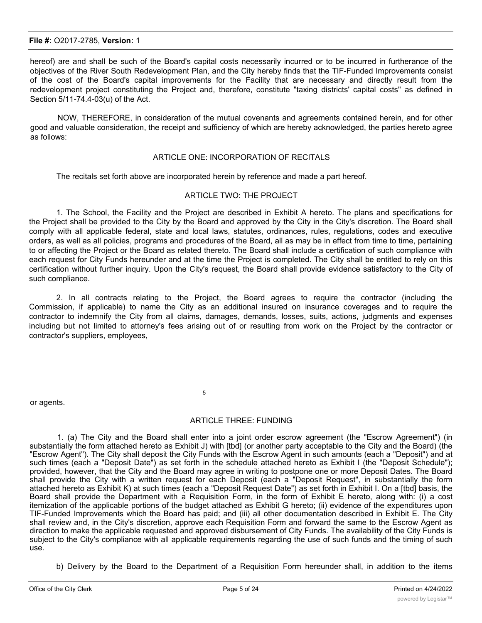hereof) are and shall be such of the Board's capital costs necessarily incurred or to be incurred in furtherance of the objectives of the River South Redevelopment Plan, and the City hereby finds that the TIF-Funded Improvements consist of the cost of the Board's capital improvements for the Facility that are necessary and directly result from the redevelopment project constituting the Project and, therefore, constitute "taxing districts' capital costs" as defined in Section 5/11-74.4-03(u) of the Act.

NOW, THEREFORE, in consideration of the mutual covenants and agreements contained herein, and for other good and valuable consideration, the receipt and sufficiency of which are hereby acknowledged, the parties hereto agree as follows:

#### ARTICLE ONE: INCORPORATION OF RECITALS

The recitals set forth above are incorporated herein by reference and made a part hereof.

#### ARTICLE TWO: THE PROJECT

1. The School, the Facility and the Project are described in Exhibit A hereto. The plans and specifications for the Project shall be provided to the City by the Board and approved by the City in the City's discretion. The Board shall comply with all applicable federal, state and local laws, statutes, ordinances, rules, regulations, codes and executive orders, as well as all policies, programs and procedures of the Board, all as may be in effect from time to time, pertaining to or affecting the Project or the Board as related thereto. The Board shall include a certification of such compliance with each request for City Funds hereunder and at the time the Project is completed. The City shall be entitled to rely on this certification without further inquiry. Upon the City's request, the Board shall provide evidence satisfactory to the City of such compliance.

2. In all contracts relating to the Project, the Board agrees to require the contractor (including the Commission, if applicable) to name the City as an additional insured on insurance coverages and to require the contractor to indemnify the City from all claims, damages, demands, losses, suits, actions, judgments and expenses including but not limited to attorney's fees arising out of or resulting from work on the Project by the contractor or contractor's suppliers, employees,

or agents.

#### ARTICLE THREE: FUNDING

5

1. (a) The City and the Board shall enter into a joint order escrow agreement (the "Escrow Agreement") (in substantially the form attached hereto as Exhibit J) with [tbd] (or another party acceptable to the City and the Board) (the "Escrow Agent"). The City shall deposit the City Funds with the Escrow Agent in such amounts (each a "Deposit") and at such times (each a "Deposit Date") as set forth in the schedule attached hereto as Exhibit I (the "Deposit Schedule"); provided, however, that the City and the Board may agree in writing to postpone one or more Deposit Dates. The Board shall provide the City with a written request for each Deposit (each a "Deposit Request", in substantially the form attached hereto as Exhibit K) at such times (each a "Deposit Request Date") as set forth in Exhibit I. On a [tbd] basis, the Board shall provide the Department with a Requisition Form, in the form of Exhibit E hereto, along with: (i) a cost itemization of the applicable portions of the budget attached as Exhibit G hereto; (ii) evidence of the expenditures upon TIF-Funded Improvements which the Board has paid; and (iii) all other documentation described in Exhibit E. The City shall review and, in the City's discretion, approve each Requisition Form and forward the same to the Escrow Agent as direction to make the applicable requested and approved disbursement of City Funds. The availability of the City Funds is subject to the City's compliance with all applicable requirements regarding the use of such funds and the timing of such use.

b) Delivery by the Board to the Department of a Requisition Form hereunder shall, in addition to the items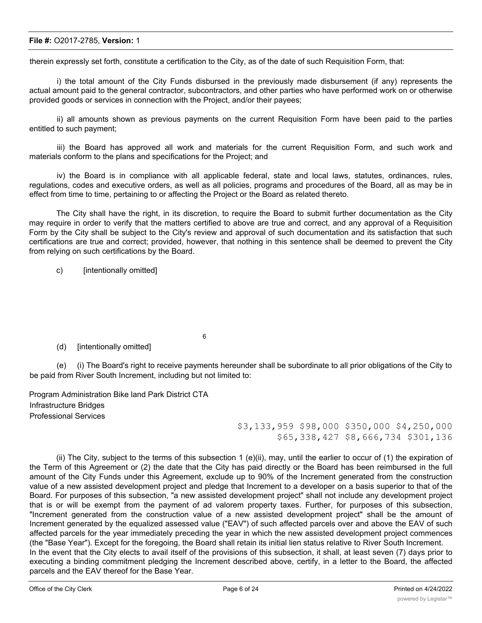therein expressly set forth, constitute a certification to the City, as of the date of such Requisition Form, that:

i) the total amount of the City Funds disbursed in the previously made disbursement (if any) represents the actual amount paid to the general contractor, subcontractors, and other parties who have performed work on or otherwise provided goods or services in connection with the Project, and/or their payees;

ii) all amounts shown as previous payments on the current Requisition Form have been paid to the parties entitled to such payment;

iii) the Board has approved all work and materials for the current Requisition Form, and such work and materials conform to the plans and specifications for the Project; and

iv) the Board is in compliance with all applicable federal, state and local laws, statutes, ordinances, rules, regulations, codes and executive orders, as well as all policies, programs and procedures of the Board, all as may be in effect from time to time, pertaining to or affecting the Project or the Board as related thereto.

The City shall have the right, in its discretion, to require the Board to submit further documentation as the City may require in order to verify that the matters certified to above are true and correct, and any approval of a Requisition Form by the City shall be subject to the City's review and approval of such documentation and its satisfaction that such certifications are true and correct; provided, however, that nothing in this sentence shall be deemed to prevent the City from relying on such certifications by the Board.

c) [intentionally omitted]

6

(d) [intentionally omitted]

(e) (i) The Board's right to receive payments hereunder shall be subordinate to all prior obligations of the City to be paid from River South Increment, including but not limited to:

Program Administration Bike land Park District CTA Infrastructure Bridges Professional Services

\$3,133,959 \$98,000 \$350,000 \$4,250,000 \$65,338,427 \$8,666,734 \$301,136

(ii) The City, subject to the terms of this subsection 1 (e)(ii), may, until the earlier to occur of (1) the expiration of the Term of this Agreement or (2) the date that the City has paid directly or the Board has been reimbursed in the full amount of the City Funds under this Agreement, exclude up to 90% of the Increment generated from the construction value of a new assisted development project and pledge that Increment to a developer on a basis superior to that of the Board. For purposes of this subsection, "a new assisted development project" shall not include any development project that is or will be exempt from the payment of ad valorem property taxes. Further, for purposes of this subsection, "Increment generated from the construction value of a new assisted development project" shall be the amount of Increment generated by the equalized assessed value ("EAV") of such affected parcels over and above the EAV of such affected parcels for the year immediately preceding the year in which the new assisted development project commences (the "Base Year"). Except for the foregoing, the Board shall retain its initial lien status relative to River South Increment. In the event that the City elects to avail itself of the provisions of this subsection, it shall, at least seven (7) days prior to executing a binding commitment pledging the Increment described above, certify, in a letter to the Board, the affected parcels and the EAV thereof for the Base Year.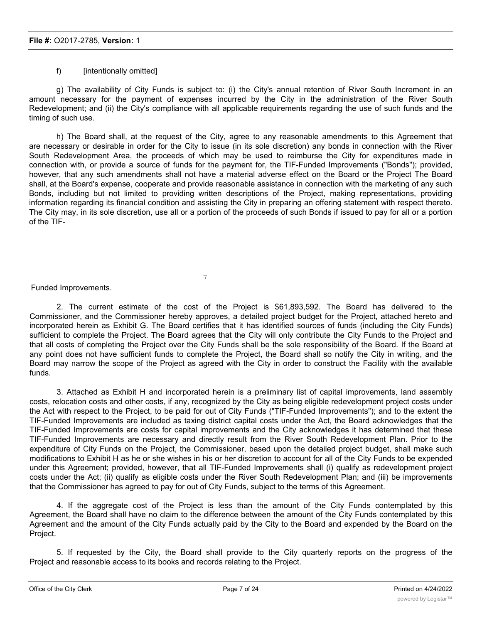# f) [intentionally omitted]

g) The availability of City Funds is subject to: (i) the City's annual retention of River South Increment in an amount necessary for the payment of expenses incurred by the City in the administration of the River South Redevelopment; and (ii) the City's compliance with all applicable requirements regarding the use of such funds and the timing of such use.

h) The Board shall, at the request of the City, agree to any reasonable amendments to this Agreement that are necessary or desirable in order for the City to issue (in its sole discretion) any bonds in connection with the River South Redevelopment Area, the proceeds of which may be used to reimburse the City for expenditures made in connection with, or provide a source of funds for the payment for, the TIF-Funded Improvements ("Bonds"); provided, however, that any such amendments shall not have a material adverse effect on the Board or the Project The Board shall, at the Board's expense, cooperate and provide reasonable assistance in connection with the marketing of any such Bonds, including but not limited to providing written descriptions of the Project, making representations, providing information regarding its financial condition and assisting the City in preparing an offering statement with respect thereto. The City may, in its sole discretion, use all or a portion of the proceeds of such Bonds if issued to pay for all or a portion of the TIF-

7

Funded Improvements.

2. The current estimate of the cost of the Project is \$61,893,592. The Board has delivered to the Commissioner, and the Commissioner hereby approves, a detailed project budget for the Project, attached hereto and incorporated herein as Exhibit G. The Board certifies that it has identified sources of funds (including the City Funds) sufficient to complete the Project. The Board agrees that the City will only contribute the City Funds to the Project and that all costs of completing the Project over the City Funds shall be the sole responsibility of the Board. If the Board at any point does not have sufficient funds to complete the Project, the Board shall so notify the City in writing, and the Board may narrow the scope of the Project as agreed with the City in order to construct the Facility with the available funds.

3. Attached as Exhibit H and incorporated herein is a preliminary list of capital improvements, land assembly costs, relocation costs and other costs, if any, recognized by the City as being eligible redevelopment project costs under the Act with respect to the Project, to be paid for out of City Funds ("TIF-Funded Improvements"); and to the extent the TIF-Funded Improvements are included as taxing district capital costs under the Act, the Board acknowledges that the TIF-Funded Improvements are costs for capital improvements and the City acknowledges it has determined that these TIF-Funded Improvements are necessary and directly result from the River South Redevelopment Plan. Prior to the expenditure of City Funds on the Project, the Commissioner, based upon the detailed project budget, shall make such modifications to Exhibit H as he or she wishes in his or her discretion to account for all of the City Funds to be expended under this Agreement; provided, however, that all TIF-Funded Improvements shall (i) qualify as redevelopment project costs under the Act; (ii) qualify as eligible costs under the River South Redevelopment Plan; and (iii) be improvements that the Commissioner has agreed to pay for out of City Funds, subject to the terms of this Agreement.

4. If the aggregate cost of the Project is less than the amount of the City Funds contemplated by this Agreement, the Board shall have no claim to the difference between the amount of the City Funds contemplated by this Agreement and the amount of the City Funds actually paid by the City to the Board and expended by the Board on the Project.

5. If requested by the City, the Board shall provide to the City quarterly reports on the progress of the Project and reasonable access to its books and records relating to the Project.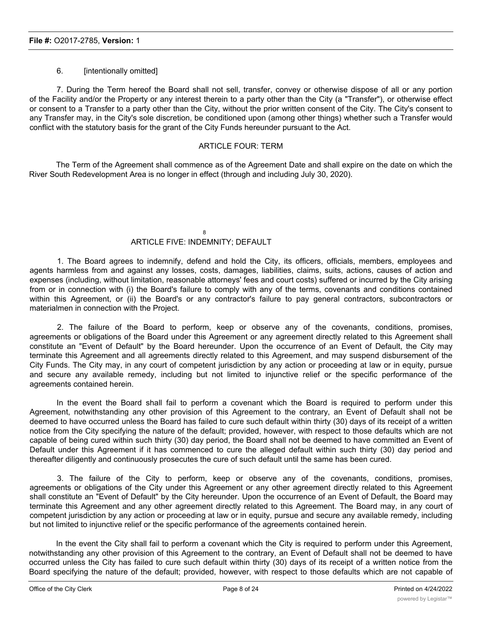# 6. [intentionally omitted]

7. During the Term hereof the Board shall not sell, transfer, convey or otherwise dispose of all or any portion of the Facility and/or the Property or any interest therein to a party other than the City (a "Transfer"), or otherwise effect or consent to a Transfer to a party other than the City, without the prior written consent of the City. The City's consent to any Transfer may, in the City's sole discretion, be conditioned upon (among other things) whether such a Transfer would conflict with the statutory basis for the grant of the City Funds hereunder pursuant to the Act.

#### ARTICLE FOUR: TERM

The Term of the Agreement shall commence as of the Agreement Date and shall expire on the date on which the River South Redevelopment Area is no longer in effect (through and including July 30, 2020).

## 8

# ARTICLE FIVE: INDEMNITY; DEFAULT

1. The Board agrees to indemnify, defend and hold the City, its officers, officials, members, employees and agents harmless from and against any losses, costs, damages, liabilities, claims, suits, actions, causes of action and expenses (including, without limitation, reasonable attorneys' fees and court costs) suffered or incurred by the City arising from or in connection with (i) the Board's failure to comply with any of the terms, covenants and conditions contained within this Agreement, or (ii) the Board's or any contractor's failure to pay general contractors, subcontractors or materialmen in connection with the Project.

2. The failure of the Board to perform, keep or observe any of the covenants, conditions, promises, agreements or obligations of the Board under this Agreement or any agreement directly related to this Agreement shall constitute an "Event of Default" by the Board hereunder. Upon the occurrence of an Event of Default, the City may terminate this Agreement and all agreements directly related to this Agreement, and may suspend disbursement of the City Funds. The City may, in any court of competent jurisdiction by any action or proceeding at law or in equity, pursue and secure any available remedy, including but not limited to injunctive relief or the specific performance of the agreements contained herein.

In the event the Board shall fail to perform a covenant which the Board is required to perform under this Agreement, notwithstanding any other provision of this Agreement to the contrary, an Event of Default shall not be deemed to have occurred unless the Board has failed to cure such default within thirty (30) days of its receipt of a written notice from the City specifying the nature of the default; provided, however, with respect to those defaults which are not capable of being cured within such thirty (30) day period, the Board shall not be deemed to have committed an Event of Default under this Agreement if it has commenced to cure the alleged default within such thirty (30) day period and thereafter diligently and continuously prosecutes the cure of such default until the same has been cured.

3. The failure of the City to perform, keep or observe any of the covenants, conditions, promises, agreements or obligations of the City under this Agreement or any other agreement directly related to this Agreement shall constitute an "Event of Default" by the City hereunder. Upon the occurrence of an Event of Default, the Board may terminate this Agreement and any other agreement directly related to this Agreement. The Board may, in any court of competent jurisdiction by any action or proceeding at law or in equity, pursue and secure any available remedy, including but not limited to injunctive relief or the specific performance of the agreements contained herein.

In the event the City shall fail to perform a covenant which the City is required to perform under this Agreement, notwithstanding any other provision of this Agreement to the contrary, an Event of Default shall not be deemed to have occurred unless the City has failed to cure such default within thirty (30) days of its receipt of a written notice from the Board specifying the nature of the default; provided, however, with respect to those defaults which are not capable of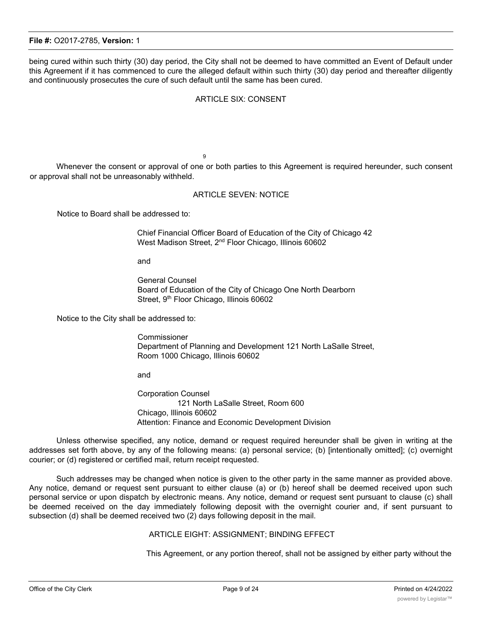being cured within such thirty (30) day period, the City shall not be deemed to have committed an Event of Default under this Agreement if it has commenced to cure the alleged default within such thirty (30) day period and thereafter diligently and continuously prosecutes the cure of such default until the same has been cured.

# ARTICLE SIX: CONSENT

9

Whenever the consent or approval of one or both parties to this Agreement is required hereunder, such consent or approval shall not be unreasonably withheld.

#### ARTICLE SEVEN: NOTICE

Notice to Board shall be addressed to:

Chief Financial Officer Board of Education of the City of Chicago 42 West Madison Street, 2<sup>nd</sup> Floor Chicago, Illinois 60602

and

General Counsel Board of Education of the City of Chicago One North Dearborn Street, 9<sup>th</sup> Floor Chicago, Illinois 60602

Notice to the City shall be addressed to:

Commissioner Department of Planning and Development 121 North LaSalle Street, Room 1000 Chicago, Illinois 60602

and

Corporation Counsel 121 North LaSalle Street, Room 600 Chicago, Illinois 60602 Attention: Finance and Economic Development Division

Unless otherwise specified, any notice, demand or request required hereunder shall be given in writing at the addresses set forth above, by any of the following means: (a) personal service; (b) [intentionally omitted]; (c) overnight courier; or (d) registered or certified mail, return receipt requested.

Such addresses may be changed when notice is given to the other party in the same manner as provided above. Any notice, demand or request sent pursuant to either clause (a) or (b) hereof shall be deemed received upon such personal service or upon dispatch by electronic means. Any notice, demand or request sent pursuant to clause (c) shall be deemed received on the day immediately following deposit with the overnight courier and, if sent pursuant to subsection (d) shall be deemed received two (2) days following deposit in the mail.

#### ARTICLE EIGHT: ASSIGNMENT; BINDING EFFECT

This Agreement, or any portion thereof, shall not be assigned by either party without the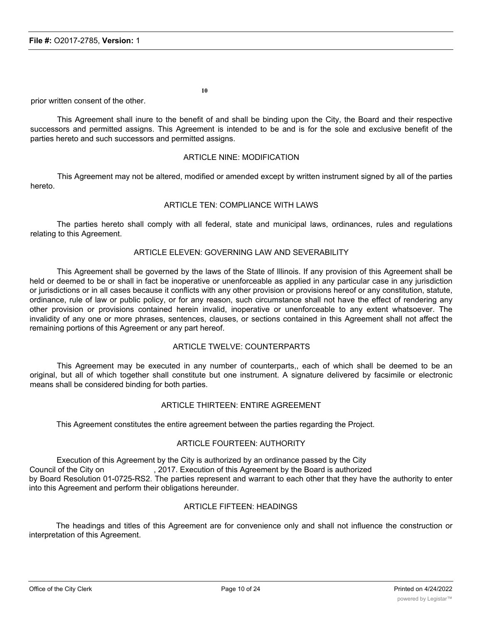prior written consent of the other.

This Agreement shall inure to the benefit of and shall be binding upon the City, the Board and their respective successors and permitted assigns. This Agreement is intended to be and is for the sole and exclusive benefit of the parties hereto and such successors and permitted assigns.

#### ARTICLE NINE: MODIFICATION

This Agreement may not be altered, modified or amended except by written instrument signed by all of the parties hereto.

## ARTICLE TEN: COMPLIANCE WITH LAWS

The parties hereto shall comply with all federal, state and municipal laws, ordinances, rules and regulations relating to this Agreement.

# ARTICLE ELEVEN: GOVERNING LAW AND SEVERABILITY

This Agreement shall be governed by the laws of the State of Illinois. If any provision of this Agreement shall be held or deemed to be or shall in fact be inoperative or unenforceable as applied in any particular case in any jurisdiction or jurisdictions or in all cases because it conflicts with any other provision or provisions hereof or any constitution, statute, ordinance, rule of law or public policy, or for any reason, such circumstance shall not have the effect of rendering any other provision or provisions contained herein invalid, inoperative or unenforceable to any extent whatsoever. The invalidity of any one or more phrases, sentences, clauses, or sections contained in this Agreement shall not affect the remaining portions of this Agreement or any part hereof.

#### ARTICLE TWELVE: COUNTERPARTS

This Agreement may be executed in any number of counterparts,, each of which shall be deemed to be an original, but all of which together shall constitute but one instrument. A signature delivered by facsimile or electronic means shall be considered binding for both parties.

#### ARTICLE THIRTEEN: ENTIRE AGREEMENT

This Agreement constitutes the entire agreement between the parties regarding the Project.

#### ARTICLE FOURTEEN: AUTHORITY

Execution of this Agreement by the City is authorized by an ordinance passed by the City Council of the City on , 2017. Execution of this Agreement by the Board is authorized by Board Resolution 01-0725-RS2. The parties represent and warrant to each other that they have the authority to enter into this Agreement and perform their obligations hereunder.

#### ARTICLE FIFTEEN: HEADINGS

The headings and titles of this Agreement are for convenience only and shall not influence the construction or interpretation of this Agreement.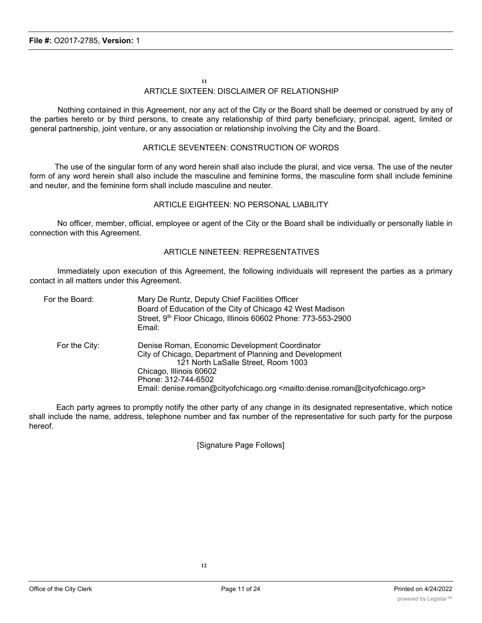# **11** ARTICLE SIXTEEN: DISCLAIMER OF RELATIONSHIP

Nothing contained in this Agreement, nor any act of the City or the Board shall be deemed or construed by any of the parties hereto or by third persons, to create any relationship of third party beneficiary, principal, agent, limited or general partnership, joint venture, or any association or relationship involving the City and the Board.

# ARTICLE SEVENTEEN: CONSTRUCTION OF WORDS

The use of the singular form of any word herein shall also include the plural, and vice versa. The use of the neuter form of any word herein shall also include the masculine and feminine forms, the masculine form shall include feminine and neuter, and the feminine form shall include masculine and neuter.

# ARTICLE EIGHTEEN: NO PERSONAL LIABILITY

No officer, member, official, employee or agent of the City or the Board shall be individually or personally liable in connection with this Agreement.

## ARTICLE NINETEEN: REPRESENTATIVES

Immediately upon execution of this Agreement, the following individuals will represent the parties as a primary contact in all matters under this Agreement.

| For the Board: | Mary De Runtz, Deputy Chief Facilities Officer<br>Board of Education of the City of Chicago 42 West Madison<br>Street, 9th Floor Chicago, Illinois 60602 Phone: 773-553-2900<br>Email:                                                                                                                                      |
|----------------|-----------------------------------------------------------------------------------------------------------------------------------------------------------------------------------------------------------------------------------------------------------------------------------------------------------------------------|
| For the City:  | Denise Roman, Economic Development Coordinator<br>City of Chicago, Department of Planning and Development<br>121 North LaSalle Street, Room 1003<br>Chicago, Illinois 60602<br>Phone: 312-744-6502<br>Email: denise.roman@cityofchicago.org <mailto:denise.roman@cityofchicago.org></mailto:denise.roman@cityofchicago.org> |

Each party agrees to promptly notify the other party of any change in its designated representative, which notice shall include the name, address, telephone number and fax number of the representative for such party for the purpose hereof.

[Signature Page Follows]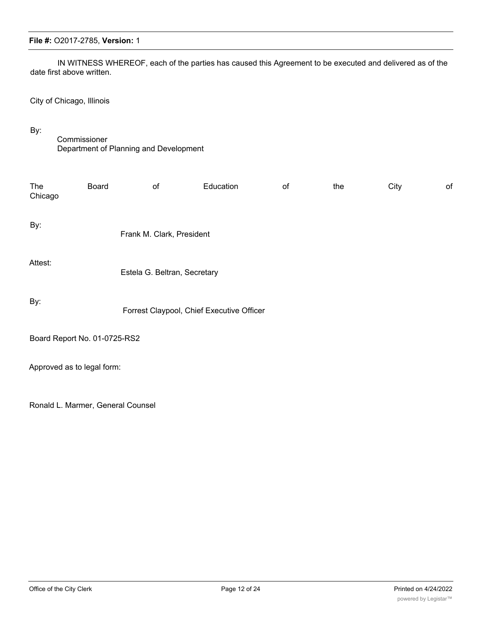# Commissioner

By:

**File #:** O2017-2785, **Version:** 1

date first above written.

City of Chicago, Illinois

Department of Planning and Development

| The<br>Chicago               | Board | of                                        | Education | of | the | City | of |
|------------------------------|-------|-------------------------------------------|-----------|----|-----|------|----|
| By:                          |       | Frank M. Clark, President                 |           |    |     |      |    |
| Attest:                      |       | Estela G. Beltran, Secretary              |           |    |     |      |    |
| By:                          |       | Forrest Claypool, Chief Executive Officer |           |    |     |      |    |
| Board Report No. 01-0725-RS2 |       |                                           |           |    |     |      |    |
| Approved as to legal form:   |       |                                           |           |    |     |      |    |
|                              |       |                                           |           |    |     |      |    |

IN WITNESS WHEREOF, each of the parties has caused this Agreement to be executed and delivered as of the

Ronald L. Marmer, General Counsel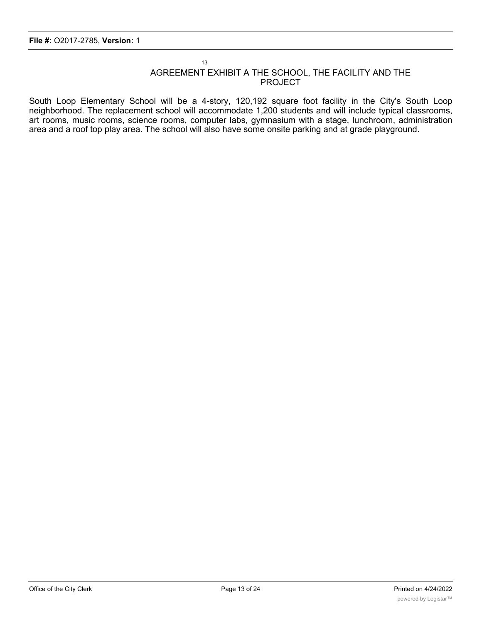# AGREEMENT EXHIBIT A THE SCHOOL, THE FACILITY AND THE PROJECT

South Loop Elementary School will be a 4-story, 120,192 square foot facility in the City's South Loop neighborhood. The replacement school will accommodate 1,200 students and will include typical classrooms, art rooms, music rooms, science rooms, computer labs, gymnasium with a stage, lunchroom, administration area and a roof top play area. The school will also have some onsite parking and at grade playground.

13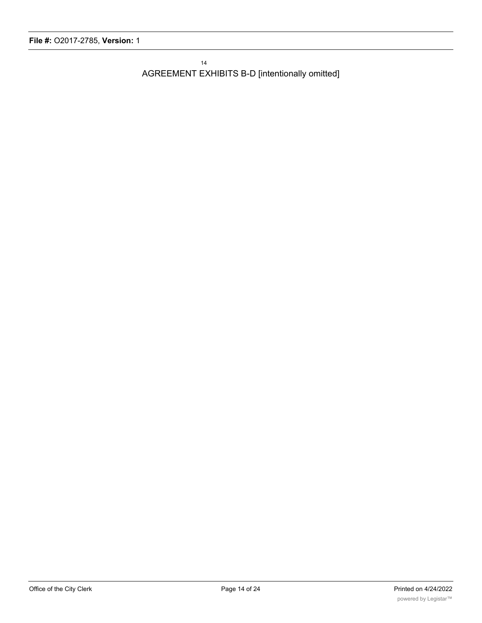AGREEMENT EXHIBITS B-D [intentionally omitted]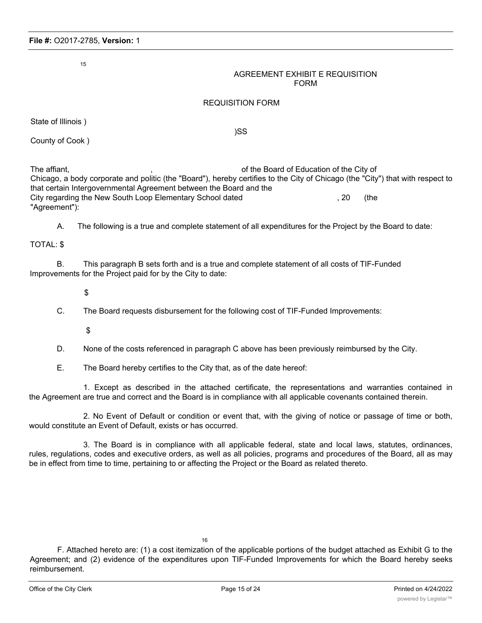#### AGREEMENT EXHIBIT E REQUISITION FORM

## REQUISITION FORM

State of Illinois )

)SS

County of Cook )

The affiant, The affiant,  $\sim$ ,  $\sim$  of the Board of Education of the City of Chicago, a body corporate and politic (the "Board"), hereby certifies to the City of Chicago (the "City") that with respect to that certain Intergovernmental Agreement between the Board and the City regarding the New South Loop Elementary School dated , 20 (the "Agreement"):

A. The following is a true and complete statement of all expenditures for the Project by the Board to date:

TOTAL: \$

B. This paragraph B sets forth and is a true and complete statement of all costs of TIF-Funded Improvements for the Project paid for by the City to date:

\$

C. The Board requests disbursement for the following cost of TIF-Funded Improvements:

\$

D. None of the costs referenced in paragraph C above has been previously reimbursed by the City.

E. The Board hereby certifies to the City that, as of the date hereof:

1. Except as described in the attached certificate, the representations and warranties contained in the Agreement are true and correct and the Board is in compliance with all applicable covenants contained therein.

2. No Event of Default or condition or event that, with the giving of notice or passage of time or both, would constitute an Event of Default, exists or has occurred.

3. The Board is in compliance with all applicable federal, state and local laws, statutes, ordinances, rules, regulations, codes and executive orders, as well as all policies, programs and procedures of the Board, all as may be in effect from time to time, pertaining to or affecting the Project or the Board as related thereto.

F. Attached hereto are: (1) a cost itemization of the applicable portions of the budget attached as Exhibit G to the Agreement; and (2) evidence of the expenditures upon TIF-Funded Improvements for which the Board hereby seeks reimbursement.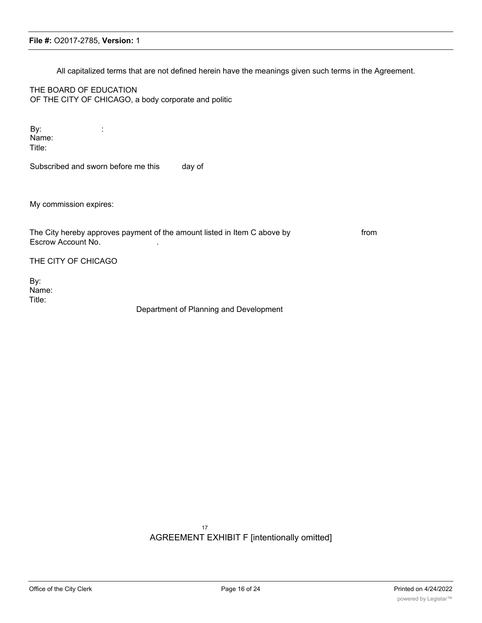All capitalized terms that are not defined herein have the meanings given such terms in the Agreement.

THE BOARD OF EDUCATION OF THE CITY OF CHICAGO, a body corporate and politic

By: the state  $\mathbf{B}$ Name: Title:

Subscribed and sworn before me this day of

My commission expires:

The City hereby approves payment of the amount listed in Item C above by from Escrow Account No. .

THE CITY OF CHICAGO

By: Name: Title:

Department of Planning and Development

17 AGREEMENT EXHIBIT F [intentionally omitted]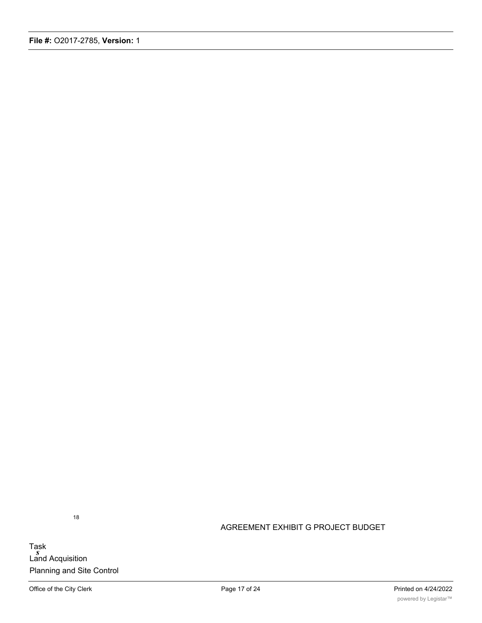Task *s* Land Acquisition Planning and Site Control AGREEMENT EXHIBIT G PROJECT BUDGET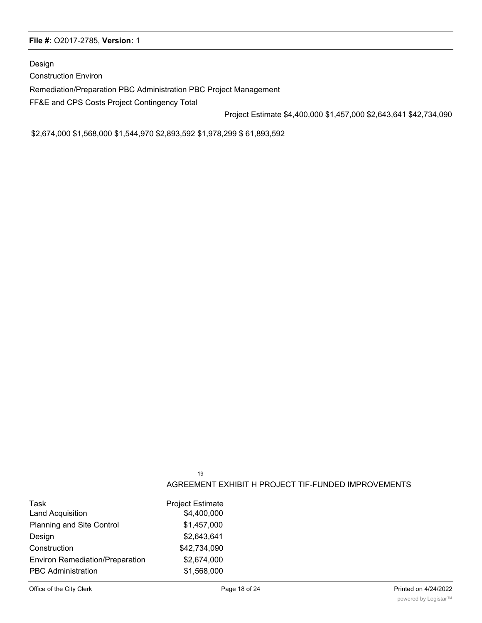Design

Construction Environ

Remediation/Preparation PBC Administration PBC Project Management

FF&E and CPS Costs Project Contingency Total

Project Estimate \$4,400,000 \$1,457,000 \$2,643,641 \$42,734,090

\$2,674,000 \$1,568,000 \$1,544,970 \$2,893,592 \$1,978,299 \$ 61,893,592

19

# AGREEMENT EXHIBIT H PROJECT TIF-FUNDED IMPROVEMENTS

| Task                                   | <b>Project Estimate</b> |
|----------------------------------------|-------------------------|
| <b>Land Acquisition</b>                | \$4,400,000             |
| <b>Planning and Site Control</b>       | \$1,457,000             |
| Design                                 | \$2,643,641             |
| Construction                           | \$42,734,090            |
| <b>Environ Remediation/Preparation</b> | \$2,674,000             |
| <b>PBC Administration</b>              | \$1,568,000             |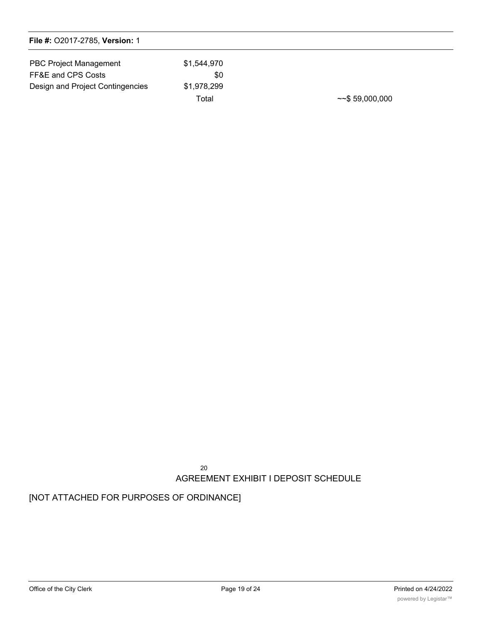| <b>PBC Project Management</b>    | \$1.544.970 |                       |
|----------------------------------|-------------|-----------------------|
| FF&E and CPS Costs               | \$0         |                       |
| Design and Project Contingencies | \$1,978,299 |                       |
|                                  | Total       | $~\sim$ \$ 59,000,000 |

20 AGREEMENT EXHIBIT I DEPOSIT SCHEDULE

# [NOT ATTACHED FOR PURPOSES OF ORDINANCE]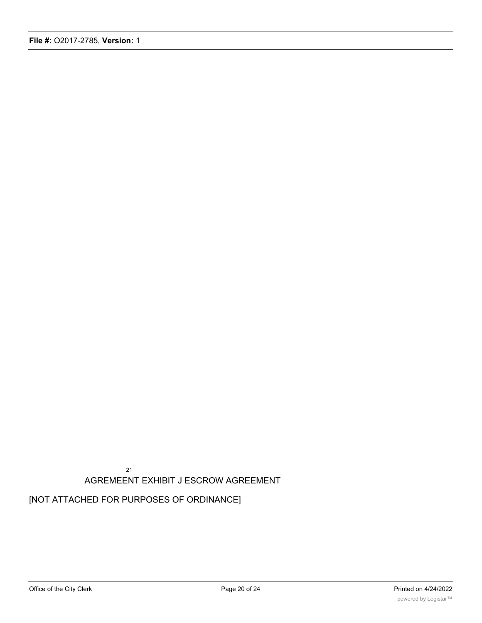21 AGREMEENT EXHIBIT J ESCROW AGREEMENT

[NOT ATTACHED FOR PURPOSES OF ORDINANCE]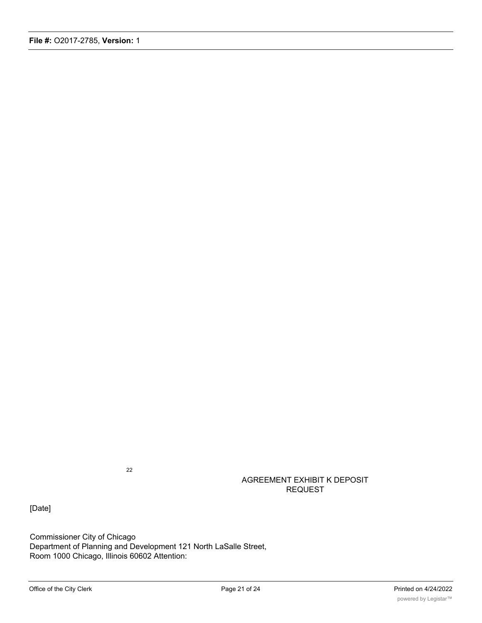AGREEMENT EXHIBIT K DEPOSIT REQUEST

[Date]

Commissioner City of Chicago Department of Planning and Development 121 North LaSalle Street, Room 1000 Chicago, Illinois 60602 Attention: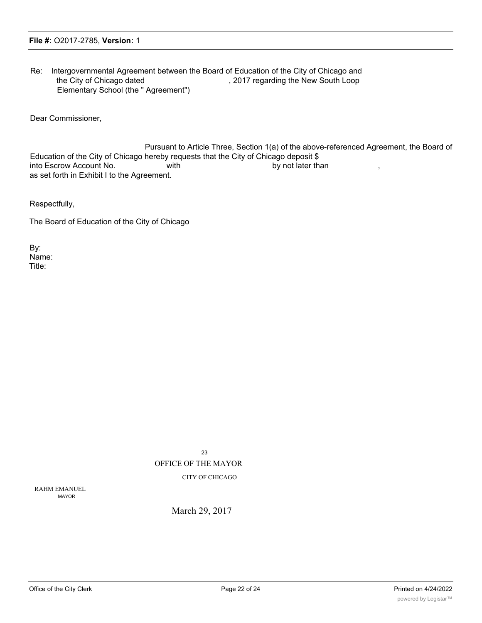Re: Intergovernmental Agreement between the Board of Education of the City of Chicago and the City of Chicago dated , 2017 regarding the New South Loop Elementary School (the " Agreement")

Dear Commissioner,

Pursuant to Article Three, Section 1(a) of the above-referenced Agreement, the Board of Education of the City of Chicago hereby requests that the City of Chicago deposit \$ into Escrow Account No. by not later than  $\mathbf b$ y not later than  $\mathbf b$ y not later than as set forth in Exhibit I to the Agreement.

Respectfully,

The Board of Education of the City of Chicago

By: Name: Title:

> 23 OFFICE OF THE MAYOR CITY OF CHICAGO

RAHM EMANUEL MAYOR

March 29, 2017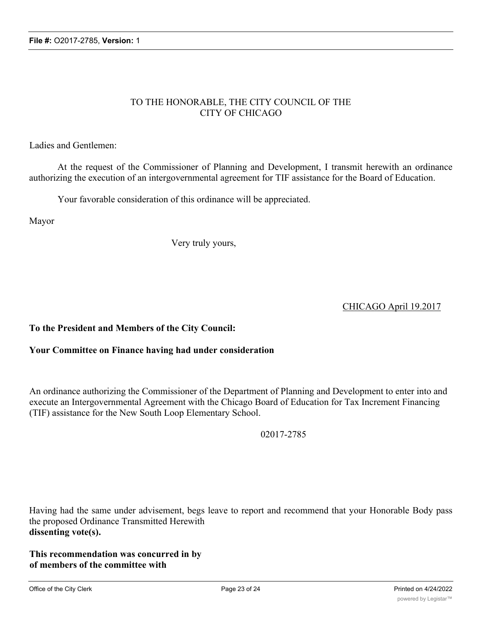# TO THE HONORABLE, THE CITY COUNCIL OF THE CITY OF CHICAGO

Ladies and Gentlemen:

At the request of the Commissioner of Planning and Development, I transmit herewith an ordinance authorizing the execution of an intergovernmental agreement for TIF assistance for the Board of Education.

Your favorable consideration of this ordinance will be appreciated.

Mayor

Very truly yours,

CHICAGO April 19.2017

**To the President and Members of the City Council:**

# **Your Committee on Finance having had under consideration**

An ordinance authorizing the Commissioner of the Department of Planning and Development to enter into and execute an Intergovernmental Agreement with the Chicago Board of Education for Tax Increment Financing (TIF) assistance for the New South Loop Elementary School.

02017-2785

Having had the same under advisement, begs leave to report and recommend that your Honorable Body pass the proposed Ordinance Transmitted Herewith **dissenting vote(s).**

**This recommendation was concurred in by of members of the committee with**